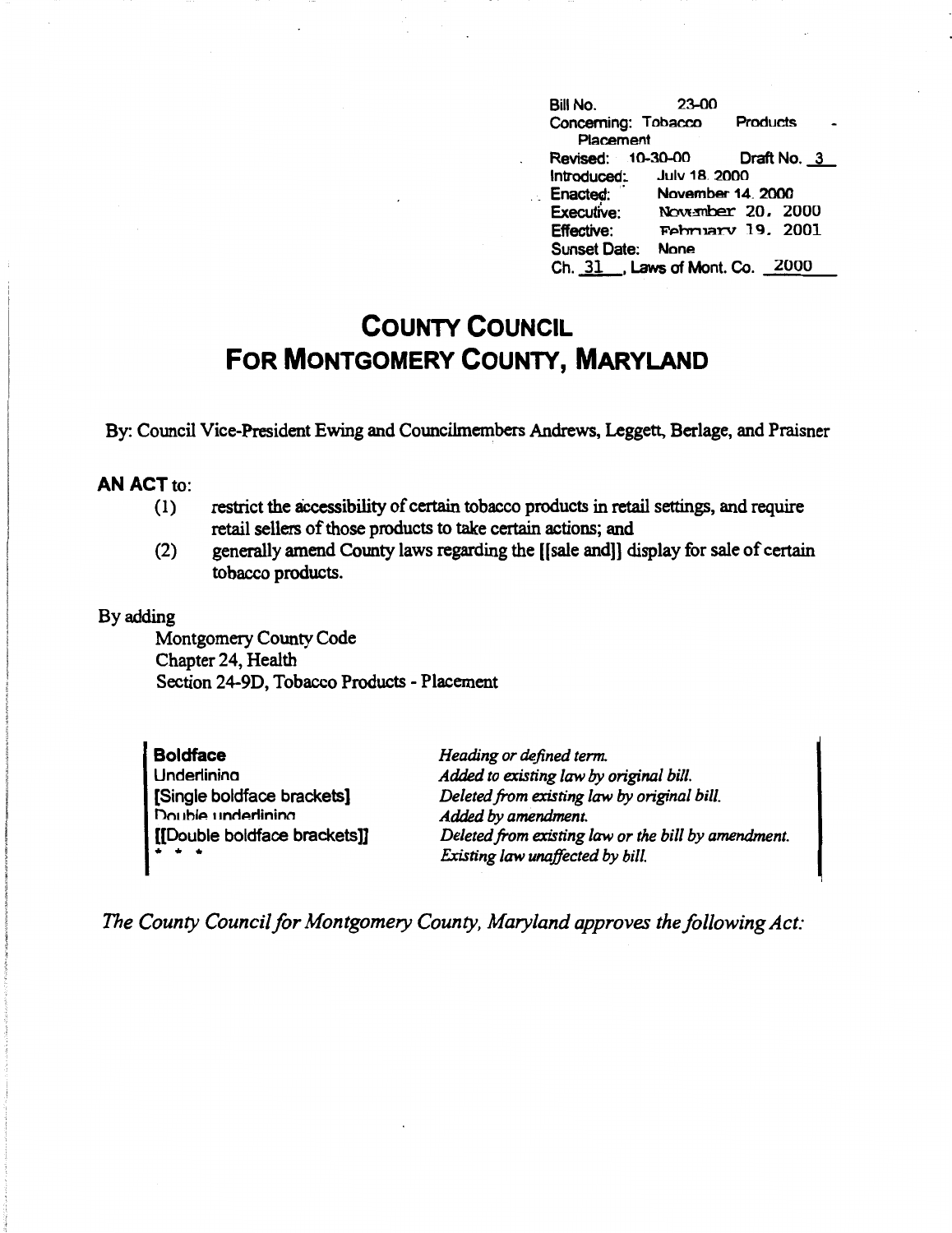| Bill No.            | 23-00                         |                      |  |
|---------------------|-------------------------------|----------------------|--|
| Concerning: Tobacco |                               | <b>Products</b>      |  |
| Placement           |                               |                      |  |
| Revised: 10-30-00   |                               | Draft No. 3          |  |
|                     | Introduced: July 18. 2000     |                      |  |
| Enacted:            | November 14, 2000             |                      |  |
| Executive:          |                               | November 20, 2000    |  |
| <b>Effective:</b>   |                               | $F$ ebruary 19. 2001 |  |
| <b>Sunset Date:</b> | <b>None</b>                   |                      |  |
|                     | Ch. 31 Laws of Mont. Co. 2000 |                      |  |

## **COUNTY COUNCIL FOR MONTGOMERY COUNTY, MARYLAND**

By: Council Vice-President Ewing and Councilmembers Andrews, Leggett, Berlage, and Praisner

## **AN ACT** to:

- (1) restrict the accessibility of certain tobacco products in retail settings, and require retail sellers of those products to take certain actions; and
- (2) generally amend County laws regarding the [(sale and]] display for sale of certain tobacco products.

## By adding

Montgomery County Code Chapter 24, Health Section 24-9D, Tobacco Products - Placement

**Boldface Underlinina** [Single boldface brackets] Double underlining [[Double boldface bracketsD • • •

*Heading or defined term. Added to existing law* by *original bill. Deleted from existing law* by *original bill. Added by amendment. Deleted from existing law or the bill by amendment. Existing law unaffected by bill.* 

*The County Council for Montgomery County, Maryland approves the following Act:*